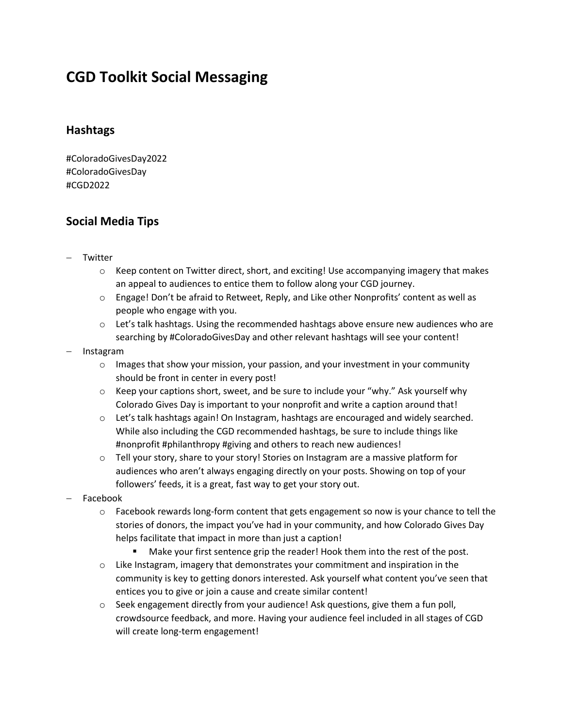# **CGD Toolkit Social Messaging**

### **Hashtags**

#ColoradoGivesDay2022 #ColoradoGivesDay #CGD2022

## **Social Media Tips**

- − Twitter
	- $\circ$  Keep content on Twitter direct, short, and exciting! Use accompanying imagery that makes an appeal to audiences to entice them to follow along your CGD journey.
	- o Engage! Don't be afraid to Retweet, Reply, and Like other Nonprofits' content as well as people who engage with you.
	- $\circ$  Let's talk hashtags. Using the recommended hashtags above ensure new audiences who are searching by #ColoradoGivesDay and other relevant hashtags will see your content!
- − Instagram
	- $\circ$  Images that show your mission, your passion, and your investment in your community should be front in center in every post!
	- $\circ$  Keep your captions short, sweet, and be sure to include your "why." Ask yourself why Colorado Gives Day is important to your nonprofit and write a caption around that!
	- o Let's talk hashtags again! On Instagram, hashtags are encouraged and widely searched. While also including the CGD recommended hashtags, be sure to include things like #nonprofit #philanthropy #giving and others to reach new audiences!
	- $\circ$  Tell your story, share to your story! Stories on Instagram are a massive platform for audiences who aren't always engaging directly on your posts. Showing on top of your followers' feeds, it is a great, fast way to get your story out.
- − Facebook
	- $\circ$  Facebook rewards long-form content that gets engagement so now is your chance to tell the stories of donors, the impact you've had in your community, and how Colorado Gives Day helps facilitate that impact in more than just a caption!
		- Make your first sentence grip the reader! Hook them into the rest of the post.
	- $\circ$  Like Instagram, imagery that demonstrates your commitment and inspiration in the community is key to getting donors interested. Ask yourself what content you've seen that entices you to give or join a cause and create similar content!
	- $\circ$  Seek engagement directly from your audience! Ask questions, give them a fun poll, crowdsource feedback, and more. Having your audience feel included in all stages of CGD will create long-term engagement!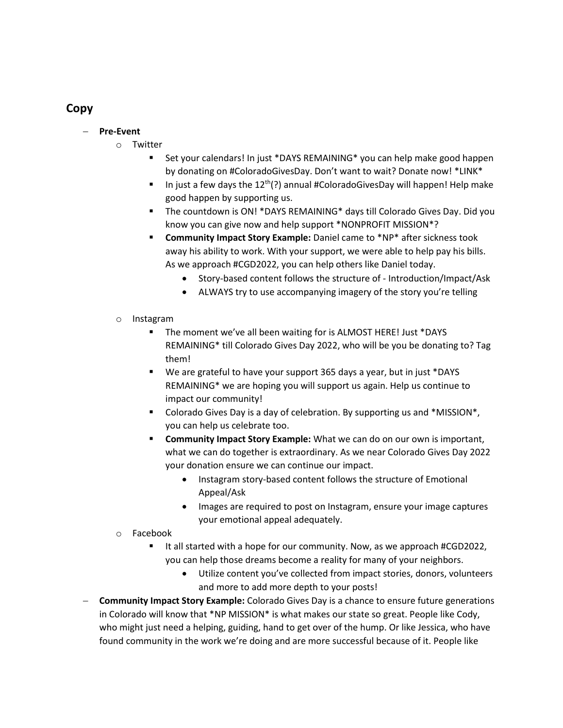## **Copy**

#### − **Pre-Event**

- o Twitter
	- Set your calendars! In just \*DAYS REMAINING\* you can help make good happen by donating on #ColoradoGivesDay. Don't want to wait? Donate now! \*LINK\*
	- **■** In just a few days the  $12<sup>th</sup>(?)$  annual #ColoradoGivesDay will happen! Help make good happen by supporting us.
	- **.** The countdown is ON! \*DAYS REMAINING\* days till Colorado Gives Day. Did you know you can give now and help support \*NONPROFIT MISSION\*?
	- **E** Community Impact Story Example: Daniel came to \*NP\* after sickness took away his ability to work. With your support, we were able to help pay his bills. As we approach #CGD2022, you can help others like Daniel today.
		- Story-based content follows the structure of Introduction/Impact/Ask
		- ALWAYS try to use accompanying imagery of the story you're telling
- o Instagram
	- The moment we've all been waiting for is ALMOST HERE! Just \*DAYS REMAINING\* till Colorado Gives Day 2022, who will be you be donating to? Tag them!
	- We are grateful to have your support 365 days a year, but in just \*DAYS REMAINING\* we are hoping you will support us again. Help us continue to impact our community!
	- Colorado Gives Day is a day of celebration. By supporting us and \*MISSION\*, you can help us celebrate too.
	- **E** Community Impact Story Example: What we can do on our own is important, what we can do together is extraordinary. As we near Colorado Gives Day 2022 your donation ensure we can continue our impact.
		- Instagram story-based content follows the structure of Emotional Appeal/Ask
		- Images are required to post on Instagram, ensure your image captures your emotional appeal adequately.
- o Facebook
	- It all started with a hope for our community. Now, as we approach #CGD2022, you can help those dreams become a reality for many of your neighbors.
		- Utilize content you've collected from impact stories, donors, volunteers and more to add more depth to your posts!
- − **Community Impact Story Example:** Colorado Gives Day is a chance to ensure future generations in Colorado will know that \*NP MISSION\* is what makes our state so great. People like Cody, who might just need a helping, guiding, hand to get over of the hump. Or like Jessica, who have found community in the work we're doing and are more successful because of it. People like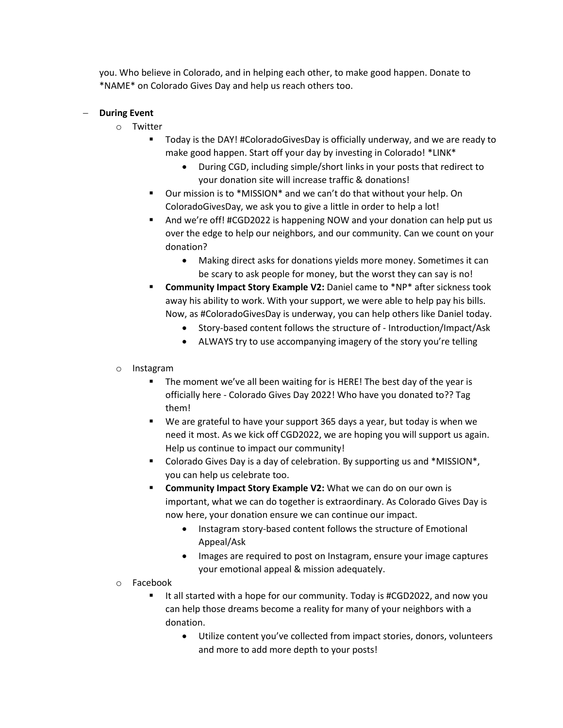you. Who believe in Colorado, and in helping each other, to make good happen. Donate to \*NAME\* on Colorado Gives Day and help us reach others too.

#### − **During Event**

- o Twitter
	- Today is the DAY! #ColoradoGivesDay is officially underway, and we are ready to make good happen. Start off your day by investing in Colorado! \*LINK\*
		- During CGD, including simple/short links in your posts that redirect to your donation site will increase traffic & donations!
	- Our mission is to \*MISSION\* and we can't do that without your help. On ColoradoGivesDay, we ask you to give a little in order to help a lot!
	- And we're off! #CGD2022 is happening NOW and your donation can help put us over the edge to help our neighbors, and our community. Can we count on your donation?
		- Making direct asks for donations yields more money. Sometimes it can be scary to ask people for money, but the worst they can say is no!
	- **Community Impact Story Example V2: Daniel came to \*NP\* after sickness took** away his ability to work. With your support, we were able to help pay his bills. Now, as #ColoradoGivesDay is underway, you can help others like Daniel today.
		- Story-based content follows the structure of Introduction/Impact/Ask
		- ALWAYS try to use accompanying imagery of the story you're telling
- o Instagram
	- The moment we've all been waiting for is HERE! The best day of the year is officially here - Colorado Gives Day 2022! Who have you donated to?? Tag them!
	- We are grateful to have your support 365 days a year, but today is when we need it most. As we kick off CGD2022, we are hoping you will support us again. Help us continue to impact our community!
	- Colorado Gives Day is a day of celebration. By supporting us and \*MISSION\*, you can help us celebrate too.
	- **EXECOMMUNITY IMPACT STORY Example V2: What we can do on our own is** important, what we can do together is extraordinary. As Colorado Gives Day is now here, your donation ensure we can continue our impact.
		- Instagram story-based content follows the structure of Emotional Appeal/Ask
		- Images are required to post on Instagram, ensure your image captures your emotional appeal & mission adequately.
- o Facebook
	- It all started with a hope for our community. Today is #CGD2022, and now you can help those dreams become a reality for many of your neighbors with a donation.
		- Utilize content you've collected from impact stories, donors, volunteers and more to add more depth to your posts!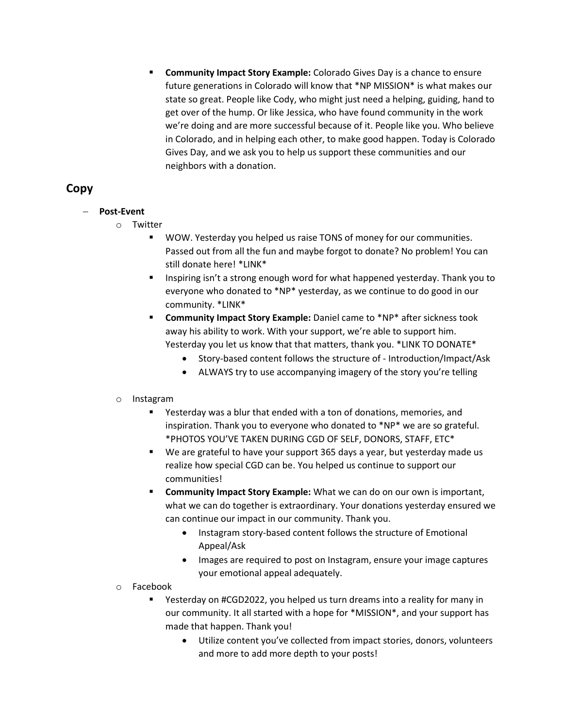**EXEDMENT IMPACT STORY Example:** Colorado Gives Day is a chance to ensure future generations in Colorado will know that \*NP MISSION\* is what makes our state so great. People like Cody, who might just need a helping, guiding, hand to get over of the hump. Or like Jessica, who have found community in the work we're doing and are more successful because of it. People like you. Who believe in Colorado, and in helping each other, to make good happen. Today is Colorado Gives Day, and we ask you to help us support these communities and our neighbors with a donation.

## **Copy**

- − **Post-Event**
	- o Twitter
		- WOW. Yesterday you helped us raise TONS of money for our communities. Passed out from all the fun and maybe forgot to donate? No problem! You can still donate here! \*LINK\*
		- Inspiring isn't a strong enough word for what happened yesterday. Thank you to everyone who donated to \*NP\* yesterday, as we continue to do good in our community. \*LINK\*
		- **E** Community Impact Story Example: Daniel came to \*NP\* after sickness took away his ability to work. With your support, we're able to support him. Yesterday you let us know that that matters, thank you. \*LINK TO DONATE\*
			- Story-based content follows the structure of Introduction/Impact/Ask
			- ALWAYS try to use accompanying imagery of the story you're telling

#### o Instagram

- Yesterday was a blur that ended with a ton of donations, memories, and inspiration. Thank you to everyone who donated to \*NP\* we are so grateful. \*PHOTOS YOU'VE TAKEN DURING CGD OF SELF, DONORS, STAFF, ETC\*
- We are grateful to have your support 365 days a year, but yesterday made us realize how special CGD can be. You helped us continue to support our communities!
- **Community Impact Story Example:** What we can do on our own is important, what we can do together is extraordinary. Your donations yesterday ensured we can continue our impact in our community. Thank you.
	- Instagram story-based content follows the structure of Emotional Appeal/Ask
	- Images are required to post on Instagram, ensure your image captures your emotional appeal adequately.
- o Facebook
	- Yesterday on #CGD2022, you helped us turn dreams into a reality for many in our community. It all started with a hope for \*MISSION\*, and your support has made that happen. Thank you!
		- Utilize content you've collected from impact stories, donors, volunteers and more to add more depth to your posts!